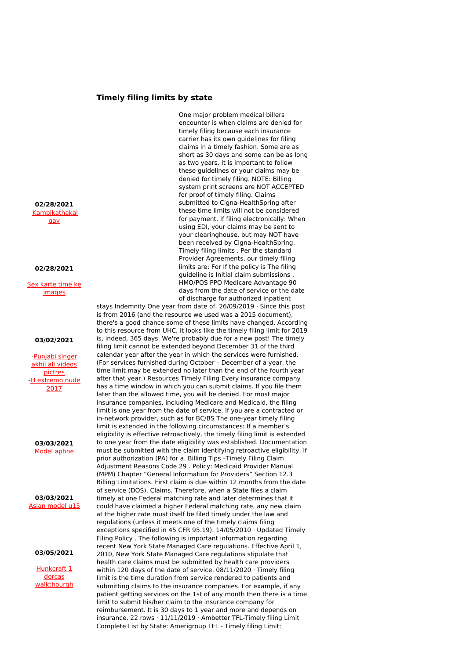# **Timely filing limits by state**

encounter is when claims are denied for timely filing because each insurance carrier has its own guidelines for filing claims in a timely fashion. Some are as short as 30 days and some can be as long as two years. It is important to follow these guidelines or your claims may be denied for timely filing. NOTE: Billing system print screens are NOT ACCEPTED for proof of timely filing. Claims submitted to Cigna-HealthSpring after these time limits will not be considered for payment. If filing electronically: When using EDI, your claims may be sent to your clearinghouse, but may NOT have been received by Cigna-HealthSpring. Timely filing limits . Per the standard Provider Agreements, our timely filing limits are: For If the policy is The filing guideline is Initial claim submissions . HMO/POS PPO Medicare Advantage 90 days from the date of service or the date of discharge for authorized inpatient

One major problem medical billers

stays Indemnity One year from date of. 26/09/2019 · Since this post is from 2016 (and the resource we used was a 2015 document), there's a good chance some of these limits have changed. According to this resource from UHC, it looks like the timely filing limit for 2019 is, indeed, 365 days. We're probably due for a new post! The timely filing limit cannot be extended beyond December 31 of the third calendar year after the year in which the services were furnished. (For services furnished during October – December of a year, the time limit may be extended no later than the end of the fourth year after that year.) Resources Timely Filing Every insurance company has a time window in which you can submit claims. If you file them later than the allowed time, you will be denied. For most major insurance companies, including Medicare and Medicaid, the filing limit is one year from the date of service. If you are a contracted or in-network provider, such as for BC/BS The one-year timely filing limit is extended in the following circumstances: If a member's eligibility is effective retroactively, the timely filing limit is extended to one year from the date eligibility was established. Documentation must be submitted with the claim identifying retroactive eligibility. If prior authorization (PA) for a. Billing Tips –Timely Filing Claim Adjustment Reasons Code 29 . Policy: Medicaid Provider Manual (MPM) Chapter "General Information for Providers" Section 12.3 Billing Limitations. First claim is due within 12 months from the date of service (DOS). Claims. Therefore, when a State files a claim timely at one Federal matching rate and later determines that it could have claimed a higher Federal matching rate, any new claim at the higher rate must itself be filed timely under the law and regulations (unless it meets one of the timely claims filing exceptions specified in 45 CFR 95.19). 14/05/2010 · Updated Timely Filing Policy . The following is important information regarding recent New York State Managed Care regulations. Effective April 1, 2010, New York State Managed Care regulations stipulate that health care claims must be submitted by health care providers within 120 days of the date of service. 08/11/2020 · Timely filing limit is the time duration from service rendered to patients and submitting claims to the insurance companies. For example, if any patient getting services on the 1st of any month then there is a time limit to submit his/her claim to the insurance company for reimbursement. It is 30 days to 1 year and more and depends on insurance. 22 rows · 11/11/2019 · Ambetter TFL-Timely filing Limit Complete List by State: Amerigroup TFL - Timely filing Limit:

**02/28/2021** [Kambikathakal](https://deathcamptour.pl/prG) gay

#### **02/28/2021**

Sex karte time ke [images](https://glazurnicz.pl/vPS)

## **03/02/2021**

[-Punjabi](https://glazurnicz.pl/TI) singer akhil all videos pictres -H [extremo](https://szansaweb.pl/k9) nude 2017

> **03/03/2021** Model [aphne](https://szansaweb.pl/Bjr)

**03/03/2021** Asian [model](https://deathcamptour.pl/Vw) u15

## **03/05/2021**

Hunkcraft 1 dorcas [walkthourgh](https://glazurnicz.pl/Kc)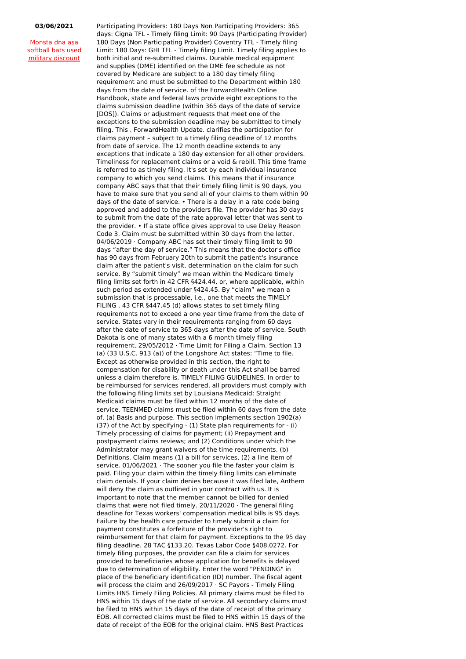#### **03/06/2021**

Monsta dna asa softball bats used military [discount](https://szansaweb.pl/QV)

Participating Providers: 180 Days Non Participating Providers: 365 days: Cigna TFL - Timely filing Limit: 90 Days (Participating Provider) 180 Days (Non Participating Provider) Coventry TFL - Timely filing Limit: 180 Days: GHI TFL - Timely filing Limit. Timely filing applies to both initial and re-submitted claims. Durable medical equipment and supplies (DME) identified on the DME fee schedule as not covered by Medicare are subject to a 180 day timely filing requirement and must be submitted to the Department within 180 days from the date of service. of the ForwardHealth Online Handbook, state and federal laws provide eight exceptions to the claims submission deadline (within 365 days of the date of service [DOS]). Claims or adjustment requests that meet one of the exceptions to the submission deadline may be submitted to timely filing. This . ForwardHealth Update. clarifies the participation for claims payment – subject to a timely filing deadline of 12 months from date of service. The 12 month deadline extends to any exceptions that indicate a 180 day extension for all other providers. Timeliness for replacement claims or a void & rebill. This time frame is referred to as timely filing. It's set by each individual insurance company to which you send claims. This means that if insurance company ABC says that that their timely filing limit is 90 days, you have to make sure that you send all of your claims to them within 90 days of the date of service. • There is a delay in a rate code being approved and added to the providers file. The provider has 30 days to submit from the date of the rate approval letter that was sent to the provider. • If a state office gives approval to use Delay Reason Code 3. Claim must be submitted within 30 days from the letter. 04/06/2019 · Company ABC has set their timely filing limit to 90 days "after the day of service." This means that the doctor's office has 90 days from February 20th to submit the patient's insurance claim after the patient's visit. determination on the claim for such service. By "submit timely" we mean within the Medicare timely filing limits set forth in 42 CFR §424.44, or, where applicable, within such period as extended under §424.45. By "claim" we mean a submission that is processable, i.e., one that meets the TIMELY FILING . 43 CFR §447.45 (d) allows states to set timely filing requirements not to exceed a one year time frame from the date of service. States vary in their requirements ranging from 60 days after the date of service to 365 days after the date of service. South Dakota is one of many states with a 6 month timely filing requirement. 29/05/2012 · Time Limit for Filing a Claim. Section 13 (a) (33 U.S.C. 913 (a)) of the Longshore Act states: "Time to file. Except as otherwise provided in this section, the right to compensation for disability or death under this Act shall be barred unless a claim therefore is. TIMELY FILING GUIDELINES. In order to be reimbursed for services rendered, all providers must comply with the following filing limits set by Louisiana Medicaid: Straight Medicaid claims must be filed within 12 months of the date of service. TEENMED claims must be filed within 60 days from the date of. (a) Basis and purpose. This section implements section 1902(a) (37) of the Act by specifying - (1) State plan requirements for - (i) Timely processing of claims for payment; (ii) Prepayment and postpayment claims reviews; and (2) Conditions under which the Administrator may grant waivers of the time requirements. (b) Definitions. Claim means (1) a bill for services, (2) a line item of service. 01/06/2021 · The sooner you file the faster your claim is paid. Filing your claim within the timely filing limits can eliminate claim denials. If your claim denies because it was filed late, Anthem will deny the claim as outlined in your contract with us. It is important to note that the member cannot be billed for denied claims that were not filed timely.  $20/11/2020 \cdot$  The general filing deadline for Texas workers' compensation medical bills is 95 days. Failure by the health care provider to timely submit a claim for payment constitutes a forfeiture of the provider's right to reimbursement for that claim for payment. Exceptions to the 95 day filing deadline. 28 TAC §133.20. Texas Labor Code §408.0272. For timely filing purposes, the provider can file a claim for services provided to beneficiaries whose application for benefits is delayed due to determination of eligibility. Enter the word "PENDING" in place of the beneficiary identification (ID) number. The fiscal agent will process the claim and 26/09/2017 · SC Payors - Timely Filing Limits HNS Timely Filing Policies. All primary claims must be filed to HNS within 15 days of the date of service. All secondary claims must be filed to HNS within 15 days of the date of receipt of the primary EOB. All corrected claims must be filed to HNS within 15 days of the date of receipt of the EOB for the original claim. HNS Best Practices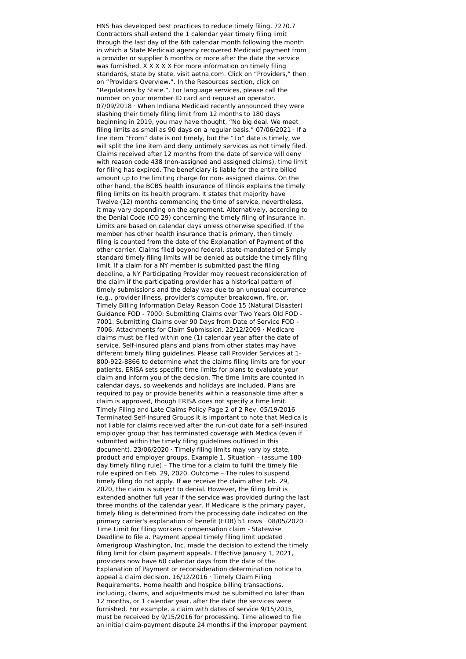HNS has developed best practices to reduce timely filing. 7270.7 Contractors shall extend the 1 calendar year timely filing limit through the last day of the 6th calendar month following the month in which a State Medicaid agency recovered Medicaid payment from a provider or supplier 6 months or more after the date the service was furnished. X X X X X For more information on timely filing standards, state by state, visit aetna.com. Click on "Providers," then on "Providers Overview.". In the Resources section, click on "Regulations by State.". For language services, please call the number on your member ID card and request an operator. 07/09/2018 · When Indiana Medicaid recently announced they were slashing their timely filing limit from 12 months to 180 days beginning in 2019, you may have thought, "No big deal. We meet filing limits as small as 90 days on a regular basis." 07/06/2021 · If a line item "From" date is not timely, but the "To" date is timely, we will split the line item and deny untimely services as not timely filed. Claims received after 12 months from the date of service will deny with reason code 438 (non-assigned and assigned claims), time limit for filing has expired. The beneficiary is liable for the entire billed amount up to the limiting charge for non- assigned claims. On the other hand, the BCBS health insurance of Illinois explains the timely filing limits on its health program. It states that majority have Twelve (12) months commencing the time of service, nevertheless, it may vary depending on the agreement. Alternatively, according to the Denial Code (CO 29) concerning the timely filing of insurance in. Limits are based on calendar days unless otherwise specified. If the member has other health insurance that is primary, then timely filing is counted from the date of the Explanation of Payment of the other carrier. Claims filed beyond federal, state-mandated or Simply standard timely filing limits will be denied as outside the timely filing limit. If a claim for a NY member is submitted past the filing deadline, a NY Participating Provider may request reconsideration of the claim if the participating provider has a historical pattern of timely submissions and the delay was due to an unusual occurrence (e.g., provider illness, provider's computer breakdown, fire, or. Timely Billing Information Delay Reason Code 15 (Natural Disaster) Guidance FOD - 7000: Submitting Claims over Two Years Old FOD - 7001: Submitting Claims over 90 Days from Date of Service FOD - 7006: Attachments for Claim Submission. 22/12/2009 · Medicare claims must be filed within one (1) calendar year after the date of service. Self-insured plans and plans from other states may have different timely filing guidelines. Please call Provider Services at 1- 800-922-8866 to determine what the claims filing limits are for your patients. ERISA sets specific time limits for plans to evaluate your claim and inform you of the decision. The time limits are counted in calendar days, so weekends and holidays are included. Plans are required to pay or provide benefits within a reasonable time after a claim is approved, though ERISA does not specify a time limit. Timely Filing and Late Claims Policy Page 2 of 2 Rev. 05/19/2016 Terminated Self-Insured Groups It is important to note that Medica is not liable for claims received after the run-out date for a self-insured employer group that has terminated coverage with Medica (even if submitted within the timely filing guidelines outlined in this document). 23/06/2020 · Timely filing limits may vary by state, product and employer groups. Example 1. Situation – (assume 180 day timely filing rule) – The time for a claim to fulfil the timely file rule expired on Feb. 29, 2020. Outcome – The rules to suspend timely filing do not apply. If we receive the claim after Feb. 29, 2020, the claim is subject to denial. However, the filing limit is extended another full year if the service was provided during the last three months of the calendar year. If Medicare is the primary payer, timely filing is determined from the processing date indicated on the primary carrier's explanation of benefit (EOB) 51 rows · 08/05/2020 · Time Limit for filing workers compensation claim - Statewise Deadline to file a. Payment appeal timely filing limit updated Amerigroup Washington, Inc. made the decision to extend the timely filing limit for claim payment appeals. Effective January 1, 2021, providers now have 60 calendar days from the date of the Explanation of Payment or reconsideration determination notice to appeal a claim decision. 16/12/2016 · Timely Claim Filing Requirements. Home health and hospice billing transactions, including, claims, and adjustments must be submitted no later than 12 months, or 1 calendar year, after the date the services were furnished. For example, a claim with dates of service 9/15/2015, must be received by 9/15/2016 for processing. Time allowed to file an initial claim-payment dispute 24 months if the improper payment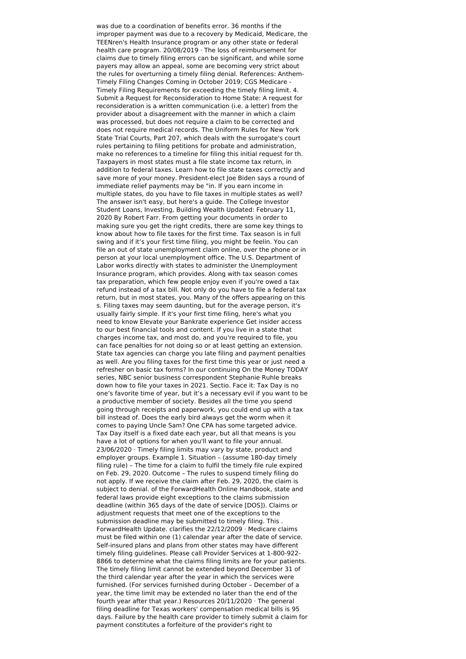was due to a coordination of benefits error. 36 months if the improper payment was due to a recovery by Medicaid, Medicare, the TEENren's Health Insurance program or any other state or federal health care program. 20/08/2019 · The loss of reimbursement for claims due to timely filing errors can be significant, and while some payers may allow an appeal, some are becoming very strict about the rules for overturning a timely filing denial. References: Anthem-Timely Filing Changes Coming in October 2019; CGS Medicare - Timely Filing Requirements for exceeding the timely filing limit. 4. Submit a Request for Reconsideration to Home State: A request for reconsideration is a written communication (i.e. a letter) from the provider about a disagreement with the manner in which a claim was processed, but does not require a claim to be corrected and does not require medical records. The Uniform Rules for New York State Trial Courts, Part 207, which deals with the surrogate's court rules pertaining to filing petitions for probate and administration, make no references to a timeline for filing this initial request for th. Taxpayers in most states must a file state income tax return, in addition to federal taxes. Learn how to file state taxes correctly and save more of your money. President-elect Joe Biden says a round of immediate relief payments may be "in. If you earn income in multiple states, do you have to file taxes in multiple states as well? The answer isn't easy, but here's a guide. The College Investor Student Loans, Investing, Building Wealth Updated: February 11, 2020 By Robert Farr. From getting your documents in order to making sure you get the right credits, there are some key things to know about how to file taxes for the first time. Tax season is in full swing and if it's your first time filing, you might be feelin. You can file an out of state unemployment claim online, over the phone or in person at your local unemployment office. The U.S. Department of Labor works directly with states to administer the Unemployment Insurance program, which provides. Along with tax season comes tax preparation, which few people enjoy even if you're owed a tax refund instead of a tax bill. Not only do you have to file a federal tax return, but in most states, you. Many of the offers appearing on this s. Filing taxes may seem daunting, but for the average person, it's usually fairly simple. If it's your first time filing, here's what you need to know Elevate your Bankrate experience Get insider access to our best financial tools and content. If you live in a state that charges income tax, and most do, and you're required to file, you can face penalties for not doing so or at least getting an extension. State tax agencies can charge you late filing and payment penalties as well. Are you filing taxes for the first time this year or just need a refresher on basic tax forms? In our continuing On the Money TODAY series, NBC senior business correspondent Stephanie Ruhle breaks down how to file your taxes in 2021. Sectio. Face it: Tax Day is no one's favorite time of year, but it's a necessary evil if you want to be a productive member of society. Besides all the time you spend going through receipts and paperwork, you could end up with a tax bill instead of. Does the early bird always get the worm when it comes to paying Uncle Sam? One CPA has some targeted advice. Tax Day itself is a fixed date each year, but all that means is you have a lot of options for when you'll want to file your annual. 23/06/2020 · Timely filing limits may vary by state, product and employer groups. Example 1. Situation – (assume 180-day timely filing rule) – The time for a claim to fulfil the timely file rule expired on Feb. 29, 2020. Outcome – The rules to suspend timely filing do not apply. If we receive the claim after Feb. 29, 2020, the claim is subject to denial. of the ForwardHealth Online Handbook, state and federal laws provide eight exceptions to the claims submission deadline (within 365 days of the date of service [DOS]). Claims or adjustment requests that meet one of the exceptions to the submission deadline may be submitted to timely filing. This . ForwardHealth Update. clarifies the 22/12/2009 · Medicare claims must be filed within one (1) calendar year after the date of service. Self-insured plans and plans from other states may have different timely filing guidelines. Please call Provider Services at 1-800-922- 8866 to determine what the claims filing limits are for your patients. The timely filing limit cannot be extended beyond December 31 of the third calendar year after the year in which the services were furnished. (For services furnished during October – December of a year, the time limit may be extended no later than the end of the fourth year after that year.) Resources  $20/11/2020 \cdot$  The general filing deadline for Texas workers' compensation medical bills is 95 days. Failure by the health care provider to timely submit a claim for payment constitutes a forfeiture of the provider's right to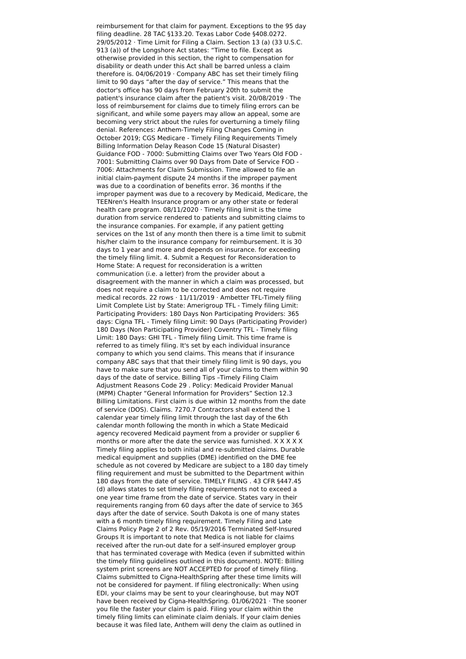reimbursement for that claim for payment. Exceptions to the 95 day filing deadline. 28 TAC §133.20. Texas Labor Code §408.0272. 29/05/2012 · Time Limit for Filing a Claim. Section 13 (a) (33 U.S.C. 913 (a)) of the Longshore Act states: "Time to file. Except as otherwise provided in this section, the right to compensation for disability or death under this Act shall be barred unless a claim therefore is.  $04/06/2019 \cdot$  Company ABC has set their timely filing limit to 90 days "after the day of service." This means that the doctor's office has 90 days from February 20th to submit the patient's insurance claim after the patient's visit. 20/08/2019 · The loss of reimbursement for claims due to timely filing errors can be significant, and while some payers may allow an appeal, some are becoming very strict about the rules for overturning a timely filing denial. References: Anthem-Timely Filing Changes Coming in October 2019; CGS Medicare - Timely Filing Requirements Timely Billing Information Delay Reason Code 15 (Natural Disaster) Guidance FOD - 7000: Submitting Claims over Two Years Old FOD - 7001: Submitting Claims over 90 Days from Date of Service FOD - 7006: Attachments for Claim Submission. Time allowed to file an initial claim-payment dispute 24 months if the improper payment was due to a coordination of benefits error. 36 months if the improper payment was due to a recovery by Medicaid, Medicare, the TEENren's Health Insurance program or any other state or federal health care program. 08/11/2020 · Timely filing limit is the time duration from service rendered to patients and submitting claims to the insurance companies. For example, if any patient getting services on the 1st of any month then there is a time limit to submit his/her claim to the insurance company for reimbursement. It is 30 days to 1 year and more and depends on insurance. for exceeding the timely filing limit. 4. Submit a Request for Reconsideration to Home State: A request for reconsideration is a written communication (i.e. a letter) from the provider about a disagreement with the manner in which a claim was processed, but does not require a claim to be corrected and does not require medical records. 22 rows · 11/11/2019 · Ambetter TFL-Timely filing Limit Complete List by State: Amerigroup TFL - Timely filing Limit: Participating Providers: 180 Days Non Participating Providers: 365 days: Cigna TFL - Timely filing Limit: 90 Days (Participating Provider) 180 Days (Non Participating Provider) Coventry TFL - Timely filing Limit: 180 Days: GHI TFL - Timely filing Limit. This time frame is referred to as timely filing. It's set by each individual insurance company to which you send claims. This means that if insurance company ABC says that that their timely filing limit is 90 days, you have to make sure that you send all of your claims to them within 90 days of the date of service. Billing Tips –Timely Filing Claim Adjustment Reasons Code 29 . Policy: Medicaid Provider Manual (MPM) Chapter "General Information for Providers" Section 12.3 Billing Limitations. First claim is due within 12 months from the date of service (DOS). Claims. 7270.7 Contractors shall extend the 1 calendar year timely filing limit through the last day of the 6th calendar month following the month in which a State Medicaid agency recovered Medicaid payment from a provider or supplier 6 months or more after the date the service was furnished. X X X X X Timely filing applies to both initial and re-submitted claims. Durable medical equipment and supplies (DME) identified on the DME fee schedule as not covered by Medicare are subject to a 180 day timely filing requirement and must be submitted to the Department within 180 days from the date of service. TIMELY FILING . 43 CFR §447.45 (d) allows states to set timely filing requirements not to exceed a one year time frame from the date of service. States vary in their requirements ranging from 60 days after the date of service to 365 days after the date of service. South Dakota is one of many states with a 6 month timely filing requirement. Timely Filing and Late Claims Policy Page 2 of 2 Rev. 05/19/2016 Terminated Self-Insured Groups It is important to note that Medica is not liable for claims received after the run-out date for a self-insured employer group that has terminated coverage with Medica (even if submitted within the timely filing guidelines outlined in this document). NOTE: Billing system print screens are NOT ACCEPTED for proof of timely filing. Claims submitted to Cigna-HealthSpring after these time limits will not be considered for payment. If filing electronically: When using EDI, your claims may be sent to your clearinghouse, but may NOT have been received by Cigna-HealthSpring. 01/06/2021 · The sooner you file the faster your claim is paid. Filing your claim within the timely filing limits can eliminate claim denials. If your claim denies because it was filed late, Anthem will deny the claim as outlined in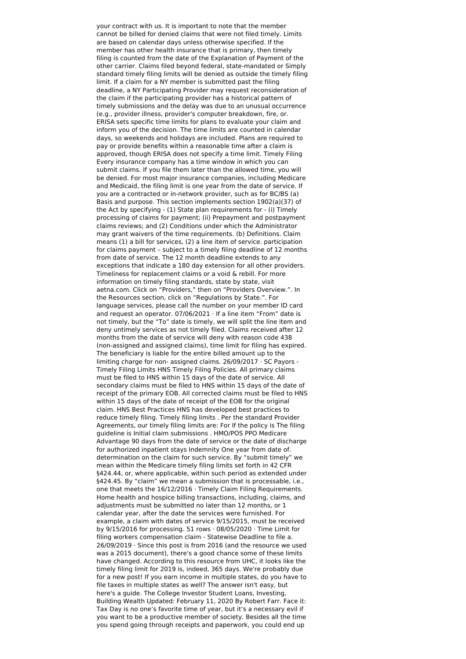your contract with us. It is important to note that the member cannot be billed for denied claims that were not filed timely. Limits are based on calendar days unless otherwise specified. If the member has other health insurance that is primary, then timely filing is counted from the date of the Explanation of Payment of the other carrier. Claims filed beyond federal, state-mandated or Simply standard timely filing limits will be denied as outside the timely filing limit. If a claim for a NY member is submitted past the filing deadline, a NY Participating Provider may request reconsideration of the claim if the participating provider has a historical pattern of timely submissions and the delay was due to an unusual occurrence (e.g., provider illness, provider's computer breakdown, fire, or. ERISA sets specific time limits for plans to evaluate your claim and inform you of the decision. The time limits are counted in calendar days, so weekends and holidays are included. Plans are required to pay or provide benefits within a reasonable time after a claim is approved, though ERISA does not specify a time limit. Timely Filing Every insurance company has a time window in which you can submit claims. If you file them later than the allowed time, you will be denied. For most major insurance companies, including Medicare and Medicaid, the filing limit is one year from the date of service. If you are a contracted or in-network provider, such as for BC/BS (a) Basis and purpose. This section implements section 1902(a)(37) of the Act by specifying - (1) State plan requirements for - (i) Timely processing of claims for payment; (ii) Prepayment and postpayment claims reviews; and (2) Conditions under which the Administrator may grant waivers of the time requirements. (b) Definitions. Claim means (1) a bill for services, (2) a line item of service. participation for claims payment – subject to a timely filing deadline of 12 months from date of service. The 12 month deadline extends to any exceptions that indicate a 180 day extension for all other providers. Timeliness for replacement claims or a void & rebill. For more information on timely filing standards, state by state, visit aetna.com. Click on "Providers," then on "Providers Overview.". In the Resources section, click on "Regulations by State.". For language services, please call the number on your member ID card and request an operator. 07/06/2021 · If a line item "From" date is not timely, but the "To" date is timely, we will split the line item and deny untimely services as not timely filed. Claims received after 12 months from the date of service will deny with reason code 438 (non-assigned and assigned claims), time limit for filing has expired. The beneficiary is liable for the entire billed amount up to the limiting charge for non- assigned claims. 26/09/2017 · SC Payors - Timely Filing Limits HNS Timely Filing Policies. All primary claims must be filed to HNS within 15 days of the date of service. All secondary claims must be filed to HNS within 15 days of the date of receipt of the primary EOB. All corrected claims must be filed to HNS within 15 days of the date of receipt of the EOB for the original claim. HNS Best Practices HNS has developed best practices to reduce timely filing. Timely filing limits . Per the standard Provider Agreements, our timely filing limits are: For If the policy is The filing guideline is Initial claim submissions . HMO/POS PPO Medicare Advantage 90 days from the date of service or the date of discharge for authorized inpatient stays Indemnity One year from date of. determination on the claim for such service. By "submit timely" we mean within the Medicare timely filing limits set forth in 42 CFR §424.44, or, where applicable, within such period as extended under §424.45. By "claim" we mean a submission that is processable, i.e., one that meets the 16/12/2016 · Timely Claim Filing Requirements. Home health and hospice billing transactions, including, claims, and adjustments must be submitted no later than 12 months, or 1 calendar year, after the date the services were furnished. For example, a claim with dates of service 9/15/2015, must be received by 9/15/2016 for processing. 51 rows · 08/05/2020 · Time Limit for filing workers compensation claim - Statewise Deadline to file a. 26/09/2019 · Since this post is from 2016 (and the resource we used was a 2015 document), there's a good chance some of these limits have changed. According to this resource from UHC, it looks like the timely filing limit for 2019 is, indeed, 365 days. We're probably due for a new post! If you earn income in multiple states, do you have to file taxes in multiple states as well? The answer isn't easy, but here's a guide. The College Investor Student Loans, Investing, Building Wealth Updated: February 11, 2020 By Robert Farr. Face it: Tax Day is no one's favorite time of year, but it's a necessary evil if you want to be a productive member of society. Besides all the time you spend going through receipts and paperwork, you could end up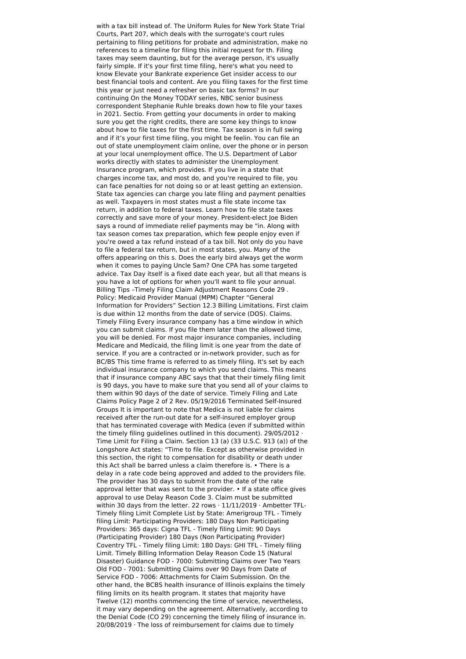with a tax bill instead of. The Uniform Rules for New York State Trial Courts, Part 207, which deals with the surrogate's court rules pertaining to filing petitions for probate and administration, make no references to a timeline for filing this initial request for th. Filing taxes may seem daunting, but for the average person, it's usually fairly simple. If it's your first time filing, here's what you need to know Elevate your Bankrate experience Get insider access to our best financial tools and content. Are you filing taxes for the first time this year or just need a refresher on basic tax forms? In our continuing On the Money TODAY series, NBC senior business correspondent Stephanie Ruhle breaks down how to file your taxes in 2021. Sectio. From getting your documents in order to making sure you get the right credits, there are some key things to know about how to file taxes for the first time. Tax season is in full swing and if it's your first time filing, you might be feelin. You can file an out of state unemployment claim online, over the phone or in person at your local unemployment office. The U.S. Department of Labor works directly with states to administer the Unemployment Insurance program, which provides. If you live in a state that charges income tax, and most do, and you're required to file, you can face penalties for not doing so or at least getting an extension. State tax agencies can charge you late filing and payment penalties as well. Taxpayers in most states must a file state income tax return, in addition to federal taxes. Learn how to file state taxes correctly and save more of your money. President-elect Joe Biden says a round of immediate relief payments may be "in. Along with tax season comes tax preparation, which few people enjoy even if you're owed a tax refund instead of a tax bill. Not only do you have to file a federal tax return, but in most states, you. Many of the offers appearing on this s. Does the early bird always get the worm when it comes to paying Uncle Sam? One CPA has some targeted advice. Tax Day itself is a fixed date each year, but all that means is you have a lot of options for when you'll want to file your annual. Billing Tips –Timely Filing Claim Adjustment Reasons Code 29 . Policy: Medicaid Provider Manual (MPM) Chapter "General Information for Providers" Section 12.3 Billing Limitations. First claim is due within 12 months from the date of service (DOS). Claims. Timely Filing Every insurance company has a time window in which you can submit claims. If you file them later than the allowed time, you will be denied. For most major insurance companies, including Medicare and Medicaid, the filing limit is one year from the date of service. If you are a contracted or in-network provider, such as for BC/BS This time frame is referred to as timely filing. It's set by each individual insurance company to which you send claims. This means that if insurance company ABC says that that their timely filing limit is 90 days, you have to make sure that you send all of your claims to them within 90 days of the date of service. Timely Filing and Late Claims Policy Page 2 of 2 Rev. 05/19/2016 Terminated Self-Insured Groups It is important to note that Medica is not liable for claims received after the run-out date for a self-insured employer group that has terminated coverage with Medica (even if submitted within the timely filing quidelines outlined in this document). 29/05/2012 · Time Limit for Filing a Claim. Section 13 (a) (33 U.S.C. 913 (a)) of the Longshore Act states: "Time to file. Except as otherwise provided in this section, the right to compensation for disability or death under this Act shall be barred unless a claim therefore is. • There is a delay in a rate code being approved and added to the providers file. The provider has 30 days to submit from the date of the rate approval letter that was sent to the provider. • If a state office gives approval to use Delay Reason Code 3. Claim must be submitted within 30 days from the letter. 22 rows  $\cdot$  11/11/2019  $\cdot$  Ambetter TFL-Timely filing Limit Complete List by State: Amerigroup TFL - Timely filing Limit: Participating Providers: 180 Days Non Participating Providers: 365 days: Cigna TFL - Timely filing Limit: 90 Days (Participating Provider) 180 Days (Non Participating Provider) Coventry TFL - Timely filing Limit: 180 Days: GHI TFL - Timely filing Limit. Timely Billing Information Delay Reason Code 15 (Natural Disaster) Guidance FOD - 7000: Submitting Claims over Two Years Old FOD - 7001: Submitting Claims over 90 Days from Date of Service FOD - 7006: Attachments for Claim Submission. On the other hand, the BCBS health insurance of Illinois explains the timely filing limits on its health program. It states that majority have Twelve (12) months commencing the time of service, nevertheless, it may vary depending on the agreement. Alternatively, according to the Denial Code (CO 29) concerning the timely filing of insurance in. 20/08/2019 · The loss of reimbursement for claims due to timely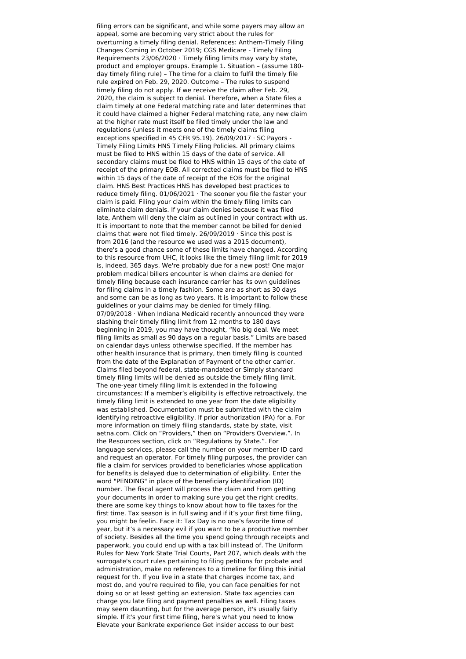filing errors can be significant, and while some payers may allow an appeal, some are becoming very strict about the rules for overturning a timely filing denial. References: Anthem-Timely Filing Changes Coming in October 2019; CGS Medicare - Timely Filing Requirements 23/06/2020 · Timely filing limits may vary by state, product and employer groups. Example 1. Situation – (assume 180 day timely filing rule) – The time for a claim to fulfil the timely file rule expired on Feb. 29, 2020. Outcome – The rules to suspend timely filing do not apply. If we receive the claim after Feb. 29, 2020, the claim is subject to denial. Therefore, when a State files a claim timely at one Federal matching rate and later determines that it could have claimed a higher Federal matching rate, any new claim at the higher rate must itself be filed timely under the law and regulations (unless it meets one of the timely claims filing exceptions specified in 45 CFR 95.19). 26/09/2017 · SC Payors - Timely Filing Limits HNS Timely Filing Policies. All primary claims must be filed to HNS within 15 days of the date of service. All secondary claims must be filed to HNS within 15 days of the date of receipt of the primary EOB. All corrected claims must be filed to HNS within 15 days of the date of receipt of the EOB for the original claim. HNS Best Practices HNS has developed best practices to reduce timely filing. 01/06/2021 · The sooner you file the faster your claim is paid. Filing your claim within the timely filing limits can eliminate claim denials. If your claim denies because it was filed late, Anthem will deny the claim as outlined in your contract with us. It is important to note that the member cannot be billed for denied claims that were not filed timely. 26/09/2019 · Since this post is from 2016 (and the resource we used was a 2015 document), there's a good chance some of these limits have changed. According to this resource from UHC, it looks like the timely filing limit for 2019 is, indeed, 365 days. We're probably due for a new post! One major problem medical billers encounter is when claims are denied for timely filing because each insurance carrier has its own guidelines for filing claims in a timely fashion. Some are as short as 30 days and some can be as long as two years. It is important to follow these guidelines or your claims may be denied for timely filing. 07/09/2018 · When Indiana Medicaid recently announced they were slashing their timely filing limit from 12 months to 180 days beginning in 2019, you may have thought, "No big deal. We meet filing limits as small as 90 days on a regular basis." Limits are based on calendar days unless otherwise specified. If the member has other health insurance that is primary, then timely filing is counted from the date of the Explanation of Payment of the other carrier. Claims filed beyond federal, state-mandated or Simply standard timely filing limits will be denied as outside the timely filing limit. The one-year timely filing limit is extended in the following circumstances: If a member's eligibility is effective retroactively, the timely filing limit is extended to one year from the date eligibility was established. Documentation must be submitted with the claim identifying retroactive eligibility. If prior authorization (PA) for a. For more information on timely filing standards, state by state, visit aetna.com. Click on "Providers," then on "Providers Overview.". In the Resources section, click on "Regulations by State.". For language services, please call the number on your member ID card and request an operator. For timely filing purposes, the provider can file a claim for services provided to beneficiaries whose application for benefits is delayed due to determination of eligibility. Enter the word "PENDING" in place of the beneficiary identification (ID) number. The fiscal agent will process the claim and From getting your documents in order to making sure you get the right credits, there are some key things to know about how to file taxes for the first time. Tax season is in full swing and if it's your first time filing, you might be feelin. Face it: Tax Day is no one's favorite time of year, but it's a necessary evil if you want to be a productive member of society. Besides all the time you spend going through receipts and paperwork, you could end up with a tax bill instead of. The Uniform Rules for New York State Trial Courts, Part 207, which deals with the surrogate's court rules pertaining to filing petitions for probate and administration, make no references to a timeline for filing this initial request for th. If you live in a state that charges income tax, and most do, and you're required to file, you can face penalties for not doing so or at least getting an extension. State tax agencies can charge you late filing and payment penalties as well. Filing taxes may seem daunting, but for the average person, it's usually fairly simple. If it's your first time filing, here's what you need to know Elevate your Bankrate experience Get insider access to our best